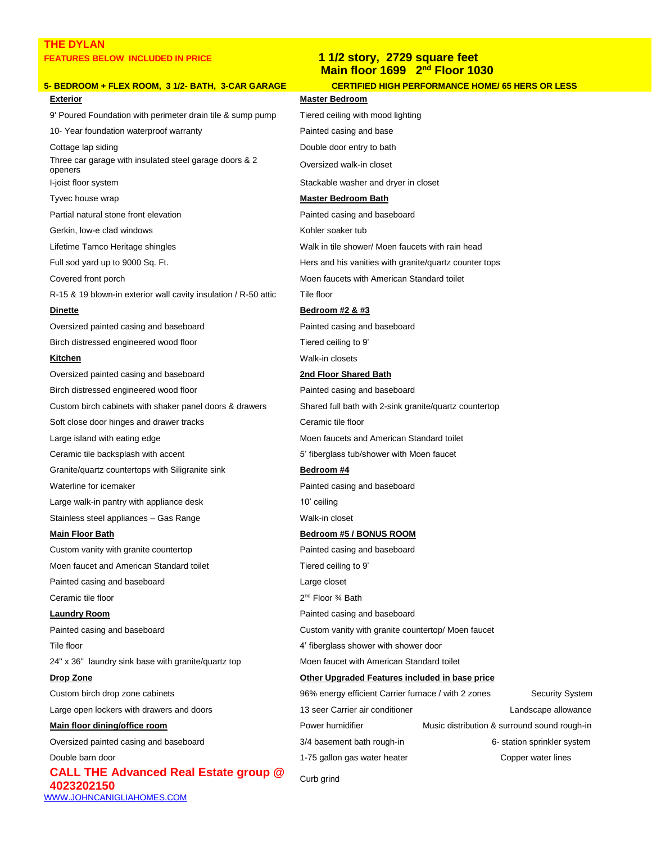## **THE DYLAN FEATURES BELOW INCLUDED IN PRICE 1 1/2 story, 2729 square feet**

## **5- BEDROOM + FLEX ROOM, 3 1/2- BATH, 3-CAR GARAGE CERTIFIED HIGH PERFORMANCE HOME/ 65 HERS OR LESS Exterior Master Bedroom**  9' Poured Foundation with perimeter drain tile & sump pump Tiered ceiling with mood lighting

10- Year foundation waterproof warranty example and painted casing and base Cottage lap siding The Cottage lap siding the Double door entry to bath Three car garage with insulated steel garage doors & 2 openers I-joist floor system Stackable washer and dryer in closet

Gerkin, low-e clad windows The Communication of the Kohler soaker tub

R-15 & 19 blown-in exterior wall cavity insulation / R-50 attic Tile floor

Oversized painted casing and baseboard **Painted casing and baseboard** Painted casing and baseboard Birch distressed engineered wood floor Tiered ceiling to 9'

Oversized painted casing and baseboard **2nd Floor Shared Bath** Birch distressed engineered wood floor **Painted casing and baseboard** Painted casing and baseboard Custom birch cabinets with shaker panel doors & drawers Shared full bath with 2-sink granite/quartz countertop Soft close door hinges and drawer tracks Ceramic tile floor Large island with eating edge Moen faucets and American Standard toilet Ceramic tile backsplash with accent Theorem 30 and 5' fiberglass tub/shower with Moen faucet Granite/quartz countertops with Siligranite sink **Bedroom #4** Waterline for icemaker **Painted casing and baseboard** Painted casing and baseboard Large walk-in pantry with appliance desk 10' ceiling Stainless steel appliances - Gas Range Walk-in closet **Main Floor Bath Bedroom #5 / BONUS ROOM** Custom vanity with granite countertop example and painted casing and baseboard

Moen faucet and American Standard toilet Tiered ceiling to 9' Painted casing and baseboard **Large closet** Large closet Ceramic tile floor

Tile floor **All 1** and the state of the state of the 4' fiberglass shower with shower door 24" x 36" laundry sink base with granite/quartz top Moen faucet with American Standard toilet

**CALL THE Advanced Real Estate group @ 4023202150** Curb group Section 2023202150 [WWW.JOHNCANIGLIAHOMES.COM](http://www.johncanigliahomes.com/)

## **Main floor 1699 2nd Floor 1030**

Oversized walk-in closet

### Tyvec house wrap **Master Bedroom Bath Master Bedroom Bath**

Partial natural stone front elevation example and painted casing and baseboard

Lifetime Tamco Heritage shingles Walk in tile shower/ Moen faucets with rain head

Full sod yard up to 9000 Sq. Ft. Hers and his vanities with granite/quartz counter tops

Covered front porch Moen faucets with American Standard toilet

### **Dinette Bedroom #2 & #3**

**Kitchen Walk-in closets** 

2<sup>nd</sup> Floor <sup>3</sup>/<sub>4</sub> Bath **Laundry Room Painted Casing and baseboard Painted casing and baseboard** Painted casing and baseboard **Custom Vanity with granite countertop/** Moen faucet **Drop Zone Other Upgraded Features included in base price** Custom birch drop zone cabinets 96% energy efficient Carrier furnace / with 2 zones Security System Large open lockers with drawers and doors 13 seer Carrier air conditioner Carrier air conditioner Landscape allowance **Main floor dining/office room According to the Contract Contract Power humidifier** Music distribution & surround sound rough-in Oversized painted casing and baseboard **3/4 basement bath rough-in** 6- station sprinkler system Double barn door **1-75 gallon gas water heater** Copper water lines